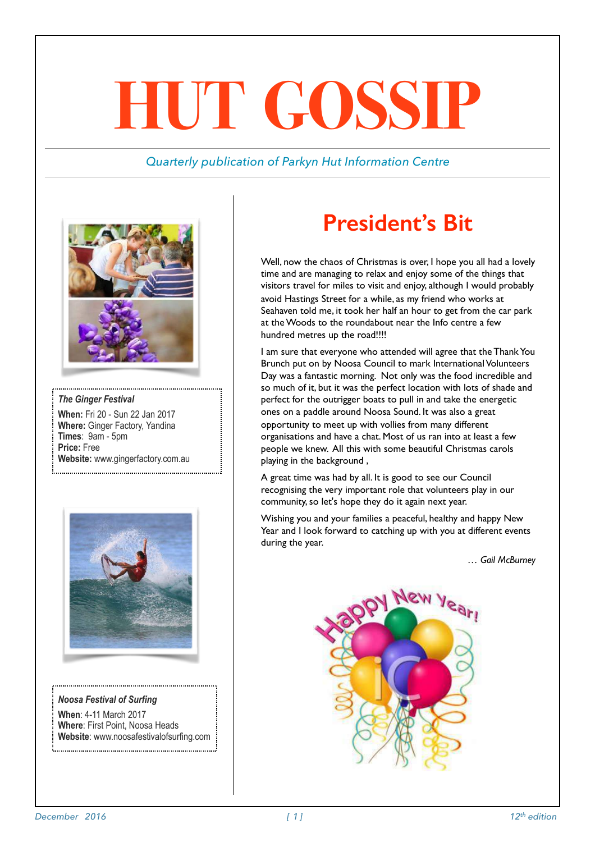# **HUT GOSSIP**

#### *Quarterly publication of Parkyn Hut Information Centre*



#### *The Ginger Festival*

**When:** Fri 20 - Sun 22 Jan 2017 **Where:** Ginger Factory, Yandina **Times**: 9am - 5pm **Price:** Free **Website:** [www.gingerfactory.com.au](http://www.gingerfactory.com.au/)



*Noosa Festival of Surfing*  **When**: 4-11 March 2017 **Where**: First Point, Noosa Heads **Website**: [www.noosafestivalofsurfing.com](http://www.noosafestivalofsurfing.com/)

# **President's Bit**

Well, now the chaos of Christmas is over, I hope you all had a lovely time and are managing to relax and enjoy some of the things that visitors travel for miles to visit and enjoy, although I would probably avoid Hastings Street for a while, as my friend who works at Seahaven told me, it took her half an hour to get from the car park at the Woods to the roundabout near the Info centre a few hundred metres up the road!!!!

I am sure that everyone who attended will agree that the Thank You Brunch put on by Noosa Council to mark International Volunteers Day was a fantastic morning. Not only was the food incredible and so much of it, but it was the perfect location with lots of shade and perfect for the outrigger boats to pull in and take the energetic ones on a paddle around Noosa Sound. It was also a great opportunity to meet up with vollies from many different organisations and have a chat. Most of us ran into at least a few people we knew. All this with some beautiful Christmas carols playing in the background ,

A great time was had by all. It is good to see our Council recognising the very important role that volunteers play in our community, so let's hope they do it again next year.

Wishing you and your families a peaceful, healthy and happy New Year and I look forward to catching up with you at different events during the year.

*… Gail McBurney*

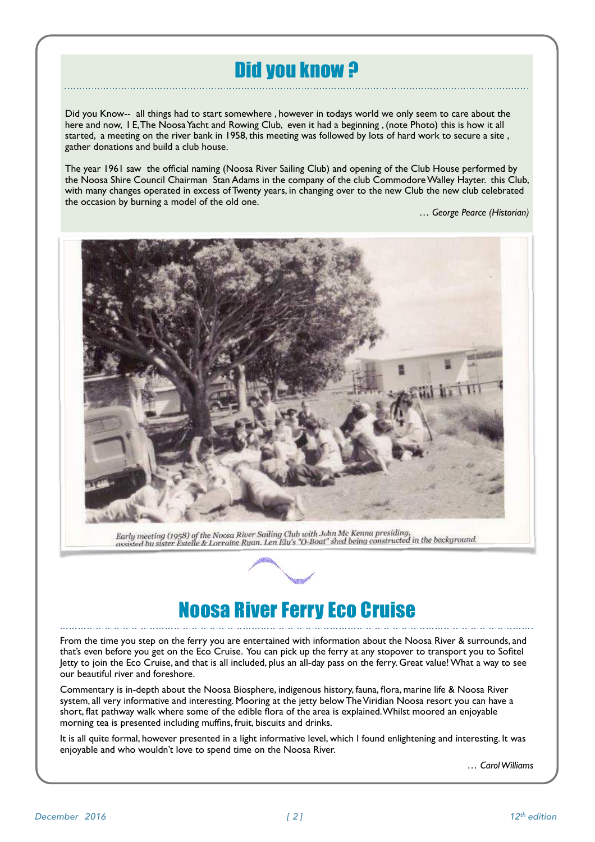#### Did you know ?

Did you Know-- all things had to start somewhere , however in todays world we only seem to care about the here and now, I E, The Noosa Yacht and Rowing Club, even it had a beginning , (note Photo) this is how it all started, a meeting on the river bank in 1958, this meeting was followed by lots of hard work to secure a site , gather donations and build a club house.

The year 1961 saw the official naming (Noosa River Sailing Club) and opening of the Club House performed by the Noosa Shire Council Chairman Stan Adams in the company of the club Commodore Walley Hayter. this Club, with many changes operated in excess of Twenty years, in changing over to the new Club the new club celebrated the occasion by burning a model of the old one.

*… George Pearce (Historian)*



Early meeting (1958) of the Noosa River Sailing Club with John Mc Kenna presiding,<br>assisted by sister Estelle & Lorraine Ryan. Len Ely's "O-Boat" shed being constructed in the background.

#### Noosa River Ferry Eco Cruise

From the time you step on the ferry you are entertained with information about the Noosa River & surrounds, and that's even before you get on the Eco Cruise. You can pick up the ferry at any stopover to transport you to Sofitel letty to ioin the Eco Cruise, and that is all included, plus an all-day pass on the ferry. Great value! What a way to see our beautiful river and foreshore.

Commentary is in-depth about the Noosa Biosphere, indigenous history, fauna, flora, marine life & Noosa River system, all very informative and interesting. Mooring at the jetty below The Viridian Noosa resort you can have a short, flat pathway walk where some of the edible flora of the area is explained. Whilst moored an enjoyable morning tea is presented including muffins, fruit, biscuits and drinks.

It is all quite formal, however presented in a light informative level, which I found enlightening and interesting. It was enjoyable and who wouldn't love to spend time on the Noosa River.

*… Carol Williams*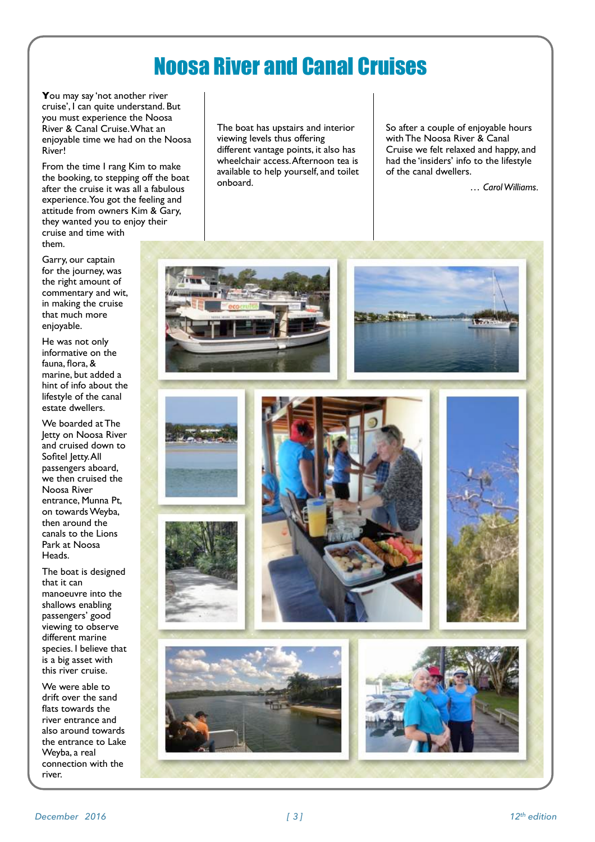## Noosa River and Canal Cruises

You may say 'not another river cruise', I can quite understand. But you must experience the Noosa River & Canal Cruise. What an enjoyable time we had on the Noosa River!

From the time I rang Kim to make the booking, to stepping off the boat after the cruise it was all a fabulous experience. You got the feeling and attitude from owners Kim & Gary, they wanted you to enjoy their cruise and time with them.

The boat has upstairs and interior viewing levels thus offering different vantage points, it also has wheelchair access. Afternoon tea is available to help yourself, and toilet onboard.

So after a couple of enjoyable hours with The Noosa River & Canal Cruise we felt relaxed and happy, and had the 'insiders' info to the lifestyle of the canal dwellers.

*… Carol Williams.*

Garry, our captain for the journey, was the right amount of commentary and wit, in making the cruise that much more enjoyable.

He was not only informative on the fauna, flora, & marine, but added a hint of info about the lifestyle of the canal estate dwellers.

We boarded at The Jetty on Noosa River and cruised down to Sofitel Jetty. All passengers aboard, we then cruised the Noosa River entrance, Munna Pt, on towards Weyba, then around the canals to the Lions Park at Noosa Heads.

The boat is designed that it can manoeuvre into the shallows enabling passengers' good viewing to observe different marine species. I believe that is a big asset with this river cruise.

We were able to drift over the sand flats towards the river entrance and also around towards the entrance to Lake Weyba, a real connection with the river.





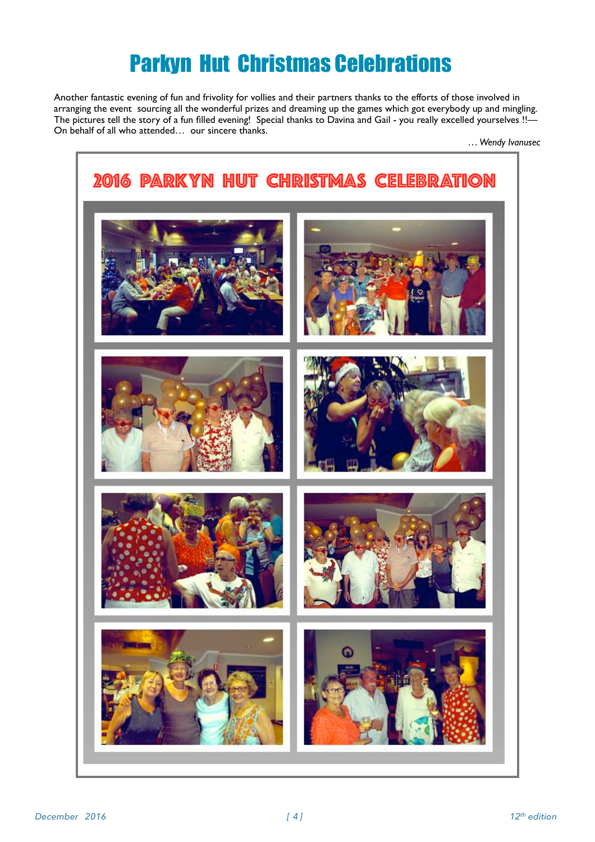## Parkyn Hut Christmas Celebrations

Another fantastic evening of fun and frivolity for vollies and their partners thanks to the efforts of those involved in arranging the event sourcing all the wonderful prizes and dreaming up the games which got everybody up and mingling. The pictures tell the story of a fun filled evening! Special thanks to Davina and Gail - you really excelled yourselves !!— On behalf of all who attended… our sincere thanks.

*… Wendy Ivanusec*

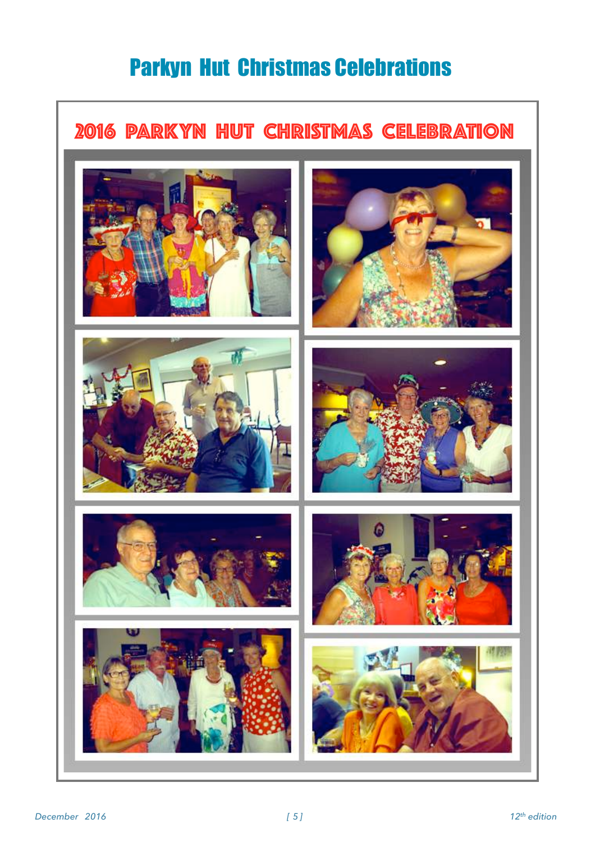### Parkyn Hut Christmas Celebrations

#### 2016 PARKYN HUT CHRISTMAS CELEBRATION

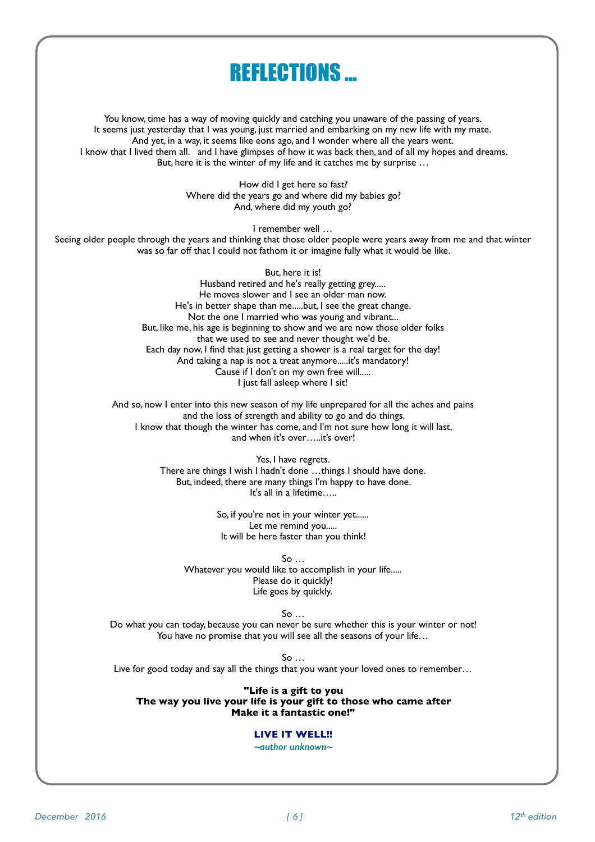## REFLECTIONS …

You know, time has a way of moving quickly and catching you unaware of the passing of years. It seems just yesterday that I was young, just married and embarking on my new life with my mate. And yet, in a way, it seems like eons ago, and I wonder where all the years went. I know that I lived them all. and I have glimpses of how it was back then, and of all my hopes and dreams. But, here it is the winter of my life and it catches me by surprise ...

> How did I get here so fast? Where did the years go and where did my babies go? And, where did my youth go?

> > I remember well …

Seeing older people through the years and thinking that those older people were years away from me and that winter was so far off that I could not fathom it or imagine fully what it would be like.

> But, here it is! Husband retired and he's really getting grey..... He moves slower and I see an older man now. He's in better shape than me.....but, I see the great change. Not the one I married who was young and vibrant... But, like me, his age is beginning to show and we are now those older folks that we used to see and never thought we'd be. Each day now, I find that just getting a shower is a real target for the day! And taking a nap is not a treat anymore.....it's mandatory! Cause if I don't on my own free will..... I just fall asleep where I sit!

And so, now I enter into this new season of my life unprepared for all the aches and pains and the loss of strength and ability to go and do things. I know that though the winter has come, and I'm not sure how long it will last, and when it's over…..it's over!

> Yes, I have regrets. There are things I wish I hadn't done …things I should have done. But, indeed, there are many things I'm happy to have done. It's all in a lifetime…..

> > So, if you're not in your winter yet...... Let me remind you..... It will be here faster than you think!

So … Whatever you would like to accomplish in your life..... Please do it quickly! Life goes by quickly.

So …

Do what you can today, because you can never be sure whether this is your winter or not! You have no promise that you will see all the seasons of your life...

So … Live for good today and say all the things that you want your loved ones to remember…

**"Life is a gift to you The way you live your life is your gift to those who came after Make it a fantastic one!"** 

#### **LIVE IT WELL!!**

*~author unknown~*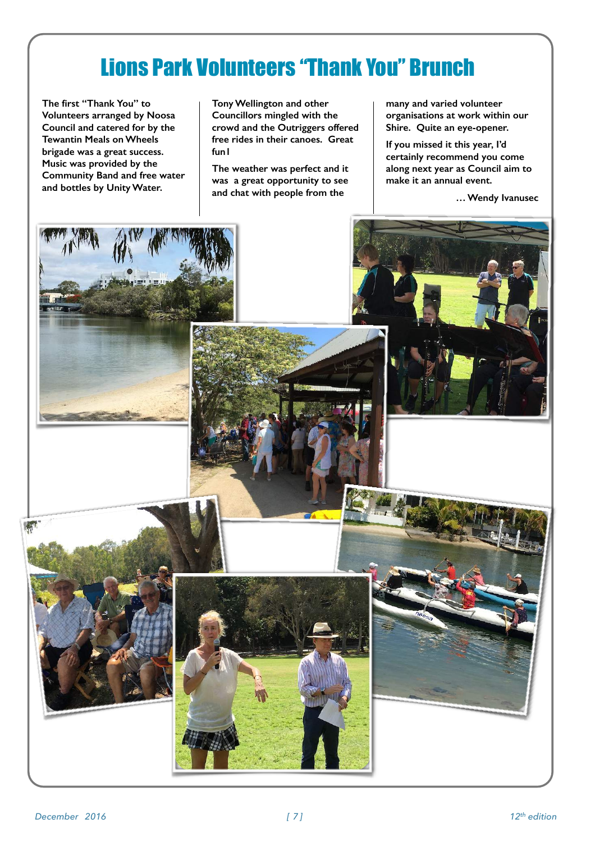## Lions Park Volunteers "Thank You" Brunch

**The first "Thank You" to Volunteers arranged by Noosa Council and catered for by the Tewantin Meals on Wheels brigade was a great success. Music was provided by the Community Band and free water and bottles by Unity Water.** 

**Tony Wellington and other Councillors mingled with the crowd and the Outriggers offered free rides in their canoes. Great fun1** 

**The weather was perfect and it was a great opportunity to see and chat with people from the** 

**many and varied volunteer organisations at work within our Shire. Quite an eye-opener.** 

**If you missed it this year, I'd certainly recommend you come along next year as Council aim to make it an annual event.** 

**… Wendy Ivanusec**